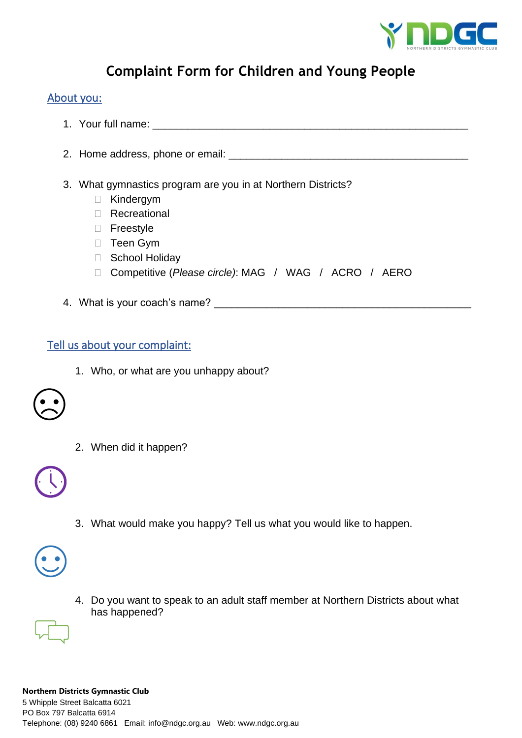

## **Complaint Form for Children and Young People**

#### About you:

- 1. Your full name:  $\blacksquare$
- 2. Home address, phone or email: \_\_\_\_\_\_\_\_\_\_\_\_\_\_\_\_\_\_\_\_\_\_\_\_\_\_\_\_\_\_\_\_\_\_\_\_\_\_\_\_\_
- 3. What gymnastics program are you in at Northern Districts?
	- □ Kindergym
	- Recreational
	- □ Freestyle
	- □ Teen Gym
	- □ School Holiday
	- Competitive (*Please circle)*: MAG / WAG / ACRO / AERO
- 4. What is your coach's name? \_\_\_\_\_\_\_\_\_\_\_\_\_\_\_\_\_\_\_\_\_\_\_\_\_\_\_\_\_\_\_\_\_\_\_\_\_\_\_\_\_\_\_\_

### Tell us about your complaint:

1. Who, or what are you unhappy about?



2. When did it happen?



3. What would make you happy? Tell us what you would like to happen.



4. Do you want to speak to an adult staff member at Northern Districts about what has happened?